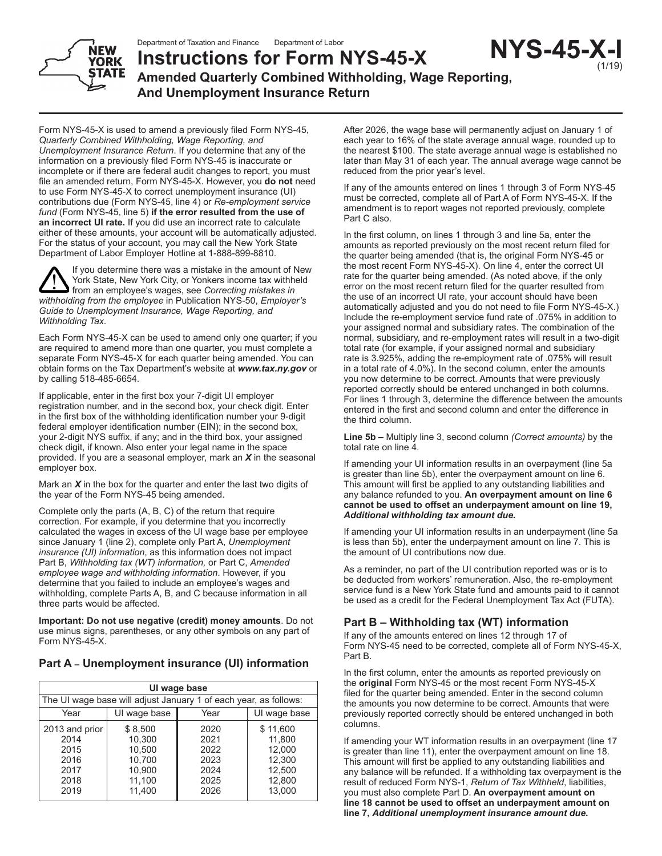Department of Taxation and Finance Department of Labor



**Instructions for Form NYS-45-X Amended Quarterly Combined Withholding, Wage Reporting, And Unemployment Insurance Return NYS-45-X-I**

Form NYS-45-X is used to amend a previously filed Form NYS-45, *Quarterly Combined Withholding, Wage Reporting, and Unemployment Insurance Return*. If you determine that any of the information on a previously filed Form NYS-45 is inaccurate or incomplete or if there are federal audit changes to report, you must file an amended return, Form NYS-45-X. However, you **do not** need to use Form NYS-45-X to correct unemployment insurance (UI) contributions due (Form NYS‑45, line 4) or *Re-employment service fund* (Form NYS‑45, line 5) **if the error resulted from the use of an incorrect UI rate.** If you did use an incorrect rate to calculate either of these amounts, your account will be automatically adjusted. For the status of your account, you may call the New York State Department of Labor Employer Hotline at 1-888-899-8810.

If you determine there was a mistake in the amount of New York State, New York City, or Yonkers income tax withheld from an employee's wages, see *Correcting mistakes in withholding from the employee* in Publication NYS-50, *Employer's Guide to Unemployment Insurance, Wage Reporting, and Withholding Tax*.

Each Form NYS-45-X can be used to amend only one quarter; if you are required to amend more than one quarter, you must complete a separate Form NYS-45-X for each quarter being amended. You can obtain forms on the Tax Department's website at *www.tax.ny.gov* or by calling 518-485‑6654.

If applicable, enter in the first box your 7-digit UI employer registration number, and in the second box, your check digit. Enter in the first box of the withholding identification number your 9-digit federal employer identification number (EIN); in the second box, your 2-digit NYS suffix, if any; and in the third box, your assigned check digit, if known. Also enter your legal name in the space provided. If you are a seasonal employer, mark an *X* in the seasonal employer box.

Mark an *X* in the box for the quarter and enter the last two digits of the year of the Form NYS-45 being amended.

Complete only the parts (A, B, C) of the return that require correction. For example, if you determine that you incorrectly calculated the wages in excess of the UI wage base per employee since January 1 (line 2), complete only Part A, *Unemployment insurance (UI) information*, as this information does not impact Part B, *Withholding tax (WT) information,* or Part C, *Amended employee wage and withholding information*. However, if you determine that you failed to include an employee's wages and withholding, complete Parts A, B, and C because information in all three parts would be affected.

**Important: Do not use negative (credit) money amounts**. Do not use minus signs, parentheses, or any other symbols on any part of Form NYS-45-X.

# **Part A – Unemployment insurance (UI) information**

| UI wage base                                                     |                                                                     |                                                      |                                                                      |  |
|------------------------------------------------------------------|---------------------------------------------------------------------|------------------------------------------------------|----------------------------------------------------------------------|--|
| The UI wage base will adjust January 1 of each year, as follows: |                                                                     |                                                      |                                                                      |  |
| Year                                                             | UI wage base                                                        | UI wage base<br>Year                                 |                                                                      |  |
| 2013 and prior<br>2014<br>2015<br>2016<br>2017<br>2018<br>2019   | \$8,500<br>10.300<br>10.500<br>10,700<br>10,900<br>11,100<br>11,400 | 2020<br>2021<br>2022<br>2023<br>2024<br>2025<br>2026 | \$11,600<br>11,800<br>12,000<br>12,300<br>12,500<br>12,800<br>13,000 |  |

After 2026, the wage base will permanently adjust on January 1 of each year to 16% of the state average annual wage, rounded up to the nearest \$100. The state average annual wage is established no later than May 31 of each year. The annual average wage cannot be reduced from the prior year's level.

(1/19)

If any of the amounts entered on lines 1 through 3 of Form NYS-45 must be corrected, complete all of Part A of Form NYS-45-X. If the amendment is to report wages not reported previously, complete Part C also.

In the first column, on lines 1 through 3 and line 5a, enter the amounts as reported previously on the most recent return filed for the quarter being amended (that is, the original Form NYS-45 or the most recent Form NYS-45-X). On line 4, enter the correct UI rate for the quarter being amended. (As noted above, if the only error on the most recent return filed for the quarter resulted from the use of an incorrect UI rate, your account should have been automatically adjusted and you do not need to file Form NYS‑45‑X.) Include the re-employment service fund rate of .075% in addition to your assigned normal and subsidiary rates. The combination of the normal, subsidiary, and re‑employment rates will result in a two-digit total rate (for example, if your assigned normal and subsidiary rate is 3.925%, adding the re-employment rate of .075% will result in a total rate of 4.0%). In the second column, enter the amounts you now determine to be correct. Amounts that were previously reported correctly should be entered unchanged in both columns. For lines 1 through 3, determine the difference between the amounts entered in the first and second column and enter the difference in the third column.

**Line 5b –** Multiply line 3, second column *(Correct amounts)* by the total rate on line 4.

If amending your UI information results in an overpayment (line 5a is greater than line 5b), enter the overpayment amount on line 6. This amount will first be applied to any outstanding liabilities and any balance refunded to you. **An overpayment amount on line 6 cannot be used to offset an underpayment amount on line 19,**  *Additional withholding tax amount due.*

If amending your UI information results in an underpayment (line 5a is less than 5b), enter the underpayment amount on line 7. This is the amount of UI contributions now due.

As a reminder, no part of the UI contribution reported was or is to be deducted from workers' remuneration. Also, the re-employment service fund is a New York State fund and amounts paid to it cannot be used as a credit for the Federal Unemployment Tax Act (FUTA).

# **Part B – Withholding tax (WT) information**

If any of the amounts entered on lines 12 through 17 of Form NYS-45 need to be corrected, complete all of Form NYS-45-X, Part B.

In the first column, enter the amounts as reported previously on the **original** Form NYS-45 or the most recent Form NYS-45-X filed for the quarter being amended. Enter in the second column the amounts you now determine to be correct. Amounts that were previously reported correctly should be entered unchanged in both columns.

If amending your WT information results in an overpayment (line 17 is greater than line 11), enter the overpayment amount on line 18. This amount will first be applied to any outstanding liabilities and any balance will be refunded. If a withholding tax overpayment is the result of reduced Form NYS-1, *Return of Tax Withheld*, liabilities, you must also complete Part D. **An overpayment amount on line 18 cannot be used to offset an underpayment amount on line 7,** *Additional unemployment insurance amount due***.**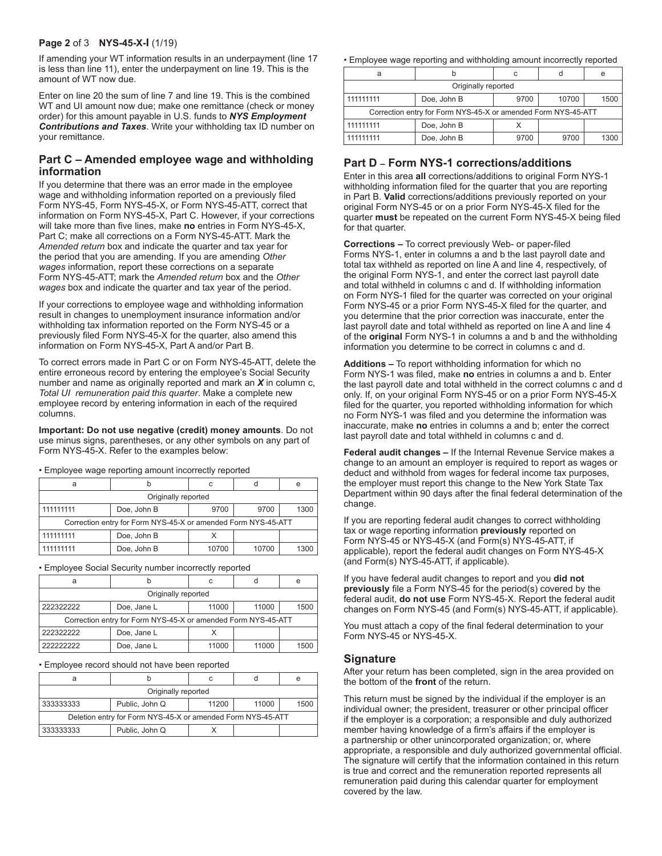#### **Page 2** of 3 **NYS-45-X-I** (1/19)

If amending your WT information results in an underpayment (line 17 is less than line 11), enter the underpayment on line 19. This is the amount of WT now due.

Enter on line 20 the sum of line 7 and line 19. This is the combined WT and UI amount now due; make one remittance (check or money order) for this amount payable in U.S. funds to *NYS Employment Contributions and Taxes*. Write your withholding tax ID number on your remittance.

#### **Part C – Amended employee wage and withholding information**

If you determine that there was an error made in the employee wage and withholding information reported on a previously filed Form NYS-45, Form NYS-45-X, or Form NYS-45-ATT, correct that information on Form NYS-45-X, Part C. However, if your corrections will take more than five lines, make **no** entries in Form NYS-45-X, Part C; make all corrections on a Form NYS-45-ATT. Mark the *Amended return* box and indicate the quarter and tax year for the period that you are amending. If you are amending *Other wages* information, report these corrections on a separate Form NYS‑45‑ATT; mark the *Amended return* box and the *Other wages* box and indicate the quarter and tax year of the period.

If your corrections to employee wage and withholding information result in changes to unemployment insurance information and/or withholding tax information reported on the Form NYS-45 or a previously filed Form NYS-45-X for the quarter, also amend this information on Form NYS-45-X, Part A and/or Part B.

To correct errors made in Part C or on Form NYS-45-ATT, delete the entire erroneous record by entering the employee's Social Security number and name as originally reported and mark an *X* in column c, *Total UI remuneration paid this quarter*. Make a complete new employee record by entering information in each of the required columns.

**Important: Do not use negative (credit) money amounts**. Do not use minus signs, parentheses, or any other symbols on any part of Form NYS-45-X. Refer to the examples below:

• Employee wage reporting amount incorrectly reported

| a                                                             |             | C     |       | e    |
|---------------------------------------------------------------|-------------|-------|-------|------|
| Originally reported                                           |             |       |       |      |
| 111111111                                                     | Doe, John B | 9700  | 9700  | 1300 |
| Correction entry for Form NYS-45-X or amended Form NYS-45-ATT |             |       |       |      |
| 111111111                                                     | Doe, John B |       |       |      |
| 111111111                                                     | Doe, John B | 10700 | 10700 | 1300 |

• Employee Social Security number incorrectly reported

|                                                               |             |       |       | e    |
|---------------------------------------------------------------|-------------|-------|-------|------|
| Originally reported                                           |             |       |       |      |
| 222322222                                                     | Doe, Jane L | 11000 | 11000 | 1500 |
| Correction entry for Form NYS-45-X or amended Form NYS-45-ATT |             |       |       |      |
| 222322222                                                     | Doe, Jane L |       |       |      |
| 222222222                                                     | Doe, Jane L | 11000 | 11000 | 1500 |

• Employee record should not have been reported

|                                                             |                |       |       | е    |
|-------------------------------------------------------------|----------------|-------|-------|------|
| Originally reported                                         |                |       |       |      |
| 333333333                                                   | Public, John Q | 11200 | 11000 | 1500 |
| Deletion entry for Form NYS-45-X or amended Form NYS-45-ATT |                |       |       |      |
| 333333333                                                   | Public, John Q |       |       |      |

• Employee wage reporting and withholding amount incorrectly reported

|                                                               |             |      |       | e    |
|---------------------------------------------------------------|-------------|------|-------|------|
| Originally reported                                           |             |      |       |      |
| 111111111                                                     | Doe, John B | 9700 | 10700 | 1500 |
| Correction entry for Form NYS-45-X or amended Form NYS-45-ATT |             |      |       |      |
| 111111111                                                     | Doe, John B |      |       |      |
| 111111111                                                     | Doe, John B | 9700 | 9700  | 1300 |

# **Part D – Form NYS-1 corrections/additions**

Enter in this area **all** corrections/additions to original Form NYS-1 withholding information filed for the quarter that you are reporting in Part B. **Valid** corrections/additions previously reported on your original Form NYS‑45 or on a prior Form NYS‑45‑X filed for the quarter **must** be repeated on the current Form NYS‑45-X being filed for that quarter.

**Corrections –** To correct previously Web- or paper-filed Forms NYS‑1, enter in columns a and b the last payroll date and total tax withheld as reported on line A and line 4, respectively, of the original Form NYS-1, and enter the correct last payroll date and total withheld in columns c and d. If withholding information on Form NYS‑1 filed for the quarter was corrected on your original Form NYS‑45 or a prior Form NYS‑45‑X filed for the quarter, and you determine that the prior correction was inaccurate, enter the last payroll date and total withheld as reported on line A and line 4 of the **original** Form NYS‑1 in columns a and b and the withholding information you determine to be correct in columns c and d.

**Additions –** To report withholding information for which no Form NYS‑1 was filed, make **no** entries in columns a and b. Enter the last payroll date and total withheld in the correct columns c and d only. If, on your original Form NYS‑45 or on a prior Form NYS‑45‑X filed for the quarter, you reported withholding information for which no Form NYS‑1 was filed and you determine the information was inaccurate, make **no** entries in columns a and b; enter the correct last payroll date and total withheld in columns c and d.

**Federal audit changes –** If the Internal Revenue Service makes a change to an amount an employer is required to report as wages or deduct and withhold from wages for federal income tax purposes, the employer must report this change to the New York State Tax Department within 90 days after the final federal determination of the change.

If you are reporting federal audit changes to correct withholding tax or wage reporting information **previously** reported on Form NYS-45 or NYS-45-X (and Form(s) NYS-45-ATT, if applicable), report the federal audit changes on Form NYS‑45‑X (and Form(s) NYS-45-ATT, if applicable).

If you have federal audit changes to report and you **did not previously** file a Form NYS-45 for the period(s) covered by the federal audit, **do not use** Form NYS-45-X. Report the federal audit changes on Form NYS-45 (and Form(s) NYS-45-ATT, if applicable).

You must attach a copy of the final federal determination to your Form NYS-45 or NYS-45-X.

#### **Signature**

After your return has been completed, sign in the area provided on the bottom of the **front** of the return.

This return must be signed by the individual if the employer is an individual owner; the president, treasurer or other principal officer if the employer is a corporation; a responsible and duly authorized member having knowledge of a firm's affairs if the employer is a partnership or other unincorporated organization; or, where appropriate, a responsible and duly authorized governmental official. The signature will certify that the information contained in this return is true and correct and the remuneration reported represents all remuneration paid during this calendar quarter for employment covered by the law.